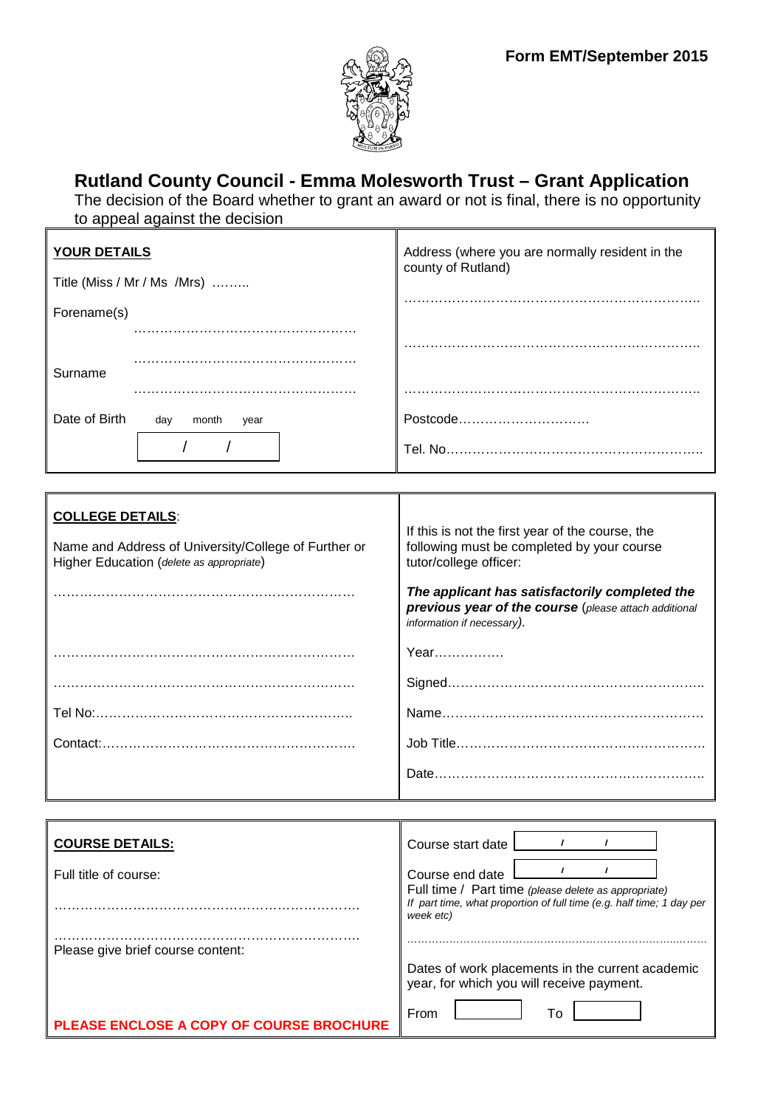

# **Rutland County Council - Emma Molesworth Trust – Grant Application**

The decision of the Board whether to grant an award or not is final, there is no opportunity to appeal against the decision

| <b>YOUR DETAILS</b>                                                                                                         | Address (where you are normally resident in the<br>county of Rutland)                                                                                                                                                                                             |
|-----------------------------------------------------------------------------------------------------------------------------|-------------------------------------------------------------------------------------------------------------------------------------------------------------------------------------------------------------------------------------------------------------------|
| Title (Miss / Mr / Ms /Mrs)                                                                                                 |                                                                                                                                                                                                                                                                   |
| Forename(s)                                                                                                                 |                                                                                                                                                                                                                                                                   |
| Surname                                                                                                                     |                                                                                                                                                                                                                                                                   |
|                                                                                                                             |                                                                                                                                                                                                                                                                   |
| Date of Birth<br>day<br>month<br>year                                                                                       | Postcode                                                                                                                                                                                                                                                          |
|                                                                                                                             |                                                                                                                                                                                                                                                                   |
|                                                                                                                             |                                                                                                                                                                                                                                                                   |
| <b>COLLEGE DETAILS:</b><br>Name and Address of University/College of Further or<br>Higher Education (delete as appropriate) | If this is not the first year of the course, the<br>following must be completed by your course<br>tutor/college officer:<br>The applicant has satisfactorily completed the<br>previous year of the course (please attach additional<br>information if necessary). |
|                                                                                                                             | Year                                                                                                                                                                                                                                                              |
|                                                                                                                             |                                                                                                                                                                                                                                                                   |
|                                                                                                                             |                                                                                                                                                                                                                                                                   |
|                                                                                                                             |                                                                                                                                                                                                                                                                   |
|                                                                                                                             |                                                                                                                                                                                                                                                                   |

| <b>COURSE DETAILS:</b>                        | Course start date                                                                                                                          |
|-----------------------------------------------|--------------------------------------------------------------------------------------------------------------------------------------------|
| Full title of course:                         | Course end date                                                                                                                            |
|                                               | Full time / Part time (please delete as appropriate)<br>If part time, what proportion of full time (e.g. half time; 1 day per<br>week etc) |
| Please give brief course content:             |                                                                                                                                            |
|                                               | Dates of work placements in the current academic<br>year, for which you will receive payment.                                              |
| <b>EASE ENCLOSE A COPY OF COURSE BROCHURE</b> | From<br>Tο                                                                                                                                 |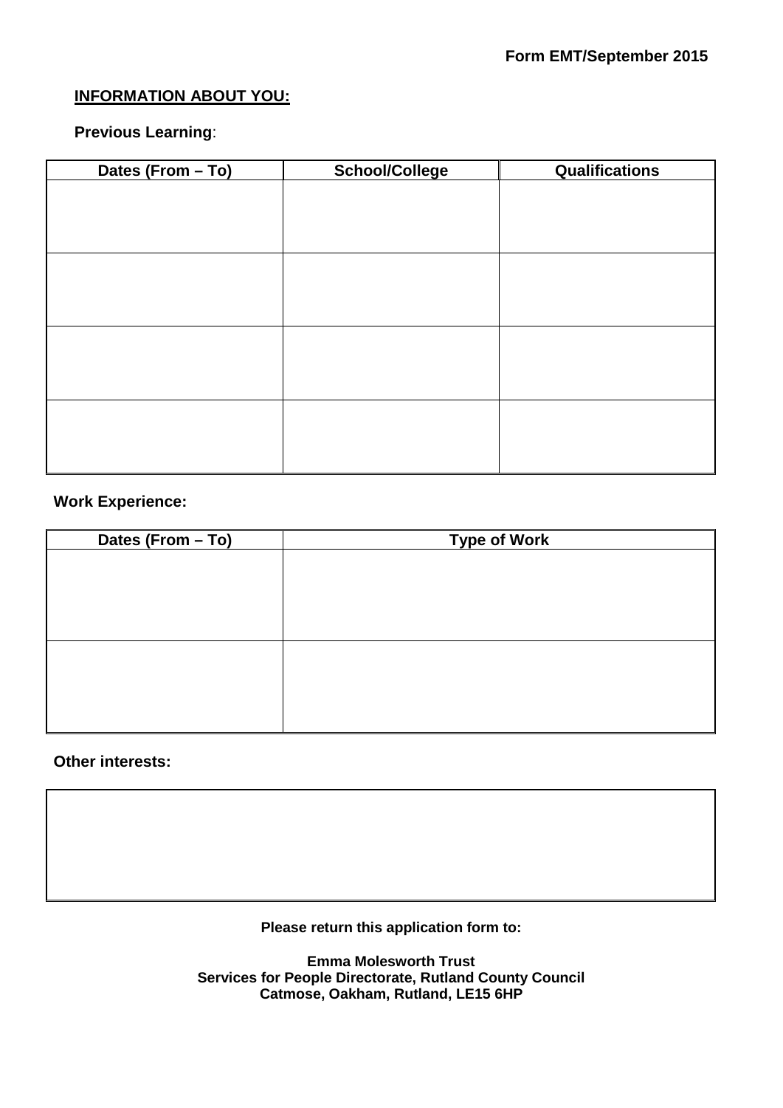# **INFORMATION ABOUT YOU:**

## **Previous Learning**:

| Dates (From - To) | <b>School/College</b> | <b>Qualifications</b> |
|-------------------|-----------------------|-----------------------|
|                   |                       |                       |
|                   |                       |                       |
|                   |                       |                       |
|                   |                       |                       |
|                   |                       |                       |
|                   |                       |                       |
|                   |                       |                       |
|                   |                       |                       |
|                   |                       |                       |
|                   |                       |                       |
|                   |                       |                       |
|                   |                       |                       |
|                   |                       |                       |
|                   |                       |                       |

# **Work Experience:**

| Dates (From - To) | <b>Type of Work</b> |  |
|-------------------|---------------------|--|
|                   |                     |  |
|                   |                     |  |
|                   |                     |  |
|                   |                     |  |
|                   |                     |  |
|                   |                     |  |
|                   |                     |  |
|                   |                     |  |
|                   |                     |  |

## **Other interests:**

**Please return this application form to:**

**Emma Molesworth Trust Services for People Directorate, Rutland County Council Catmose, Oakham, Rutland, LE15 6HP**